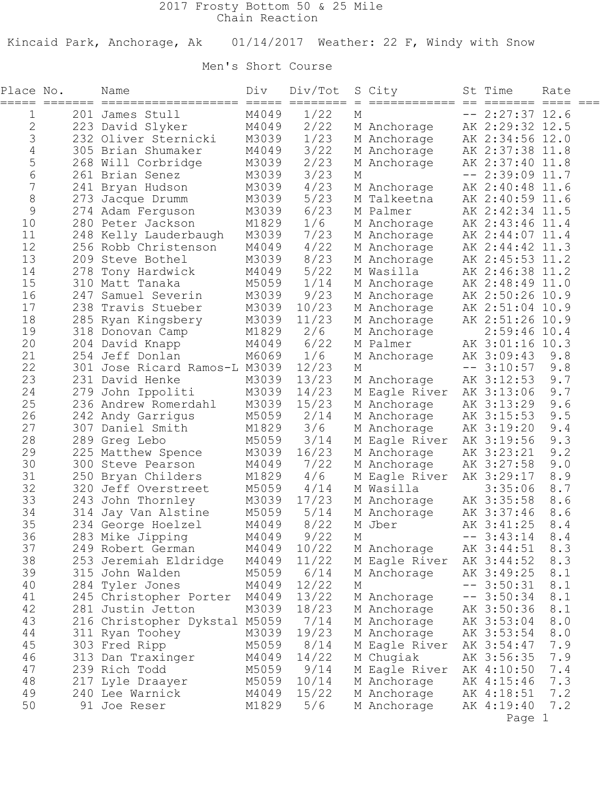## 2017 Frosty Bottom 50 & 25 Mile Chain Reaction

Kincaid Park, Anchorage, Ak 01/14/2017 Weather: 22 F, Windy with Snow

## Men's Short Course

| Place No.    | ===== ======= | Name<br>===================   | Div   | Div/Tot<br>===== ======== = |   | S City<br>============ == ======= ==== === | St Time           | Rate    |  |
|--------------|---------------|-------------------------------|-------|-----------------------------|---|--------------------------------------------|-------------------|---------|--|
| 1            |               | 201 James Stull               | M4049 | 1/22                        | М |                                            | $-- 2:27:37 12.6$ |         |  |
| $\mathbf{2}$ |               | 223 David Slyker              | M4049 | 2/22                        |   | M Anchorage                                | AK 2:29:32 12.5   |         |  |
| $\mathsf S$  |               | 232 Oliver Sternicki          | M3039 | 1/23                        |   | M Anchorage                                | AK 2:34:56 12.0   |         |  |
| $\sqrt{4}$   |               | 305 Brian Shumaker            | M4049 | 3/22                        |   | M Anchorage                                | AK 2:37:38 11.8   |         |  |
| 5            |               | 268 Will Corbridge            | M3039 | 2/23                        |   | M Anchorage                                | AK 2:37:40 11.8   |         |  |
| $\epsilon$   |               | 261 Brian Senez               | M3039 | 3/23                        | М |                                            | $-- 2:39:09$ 11.7 |         |  |
| 7            |               | 241 Bryan Hudson              | M3039 | 4/23                        |   | M Anchorage                                | AK 2:40:48 11.6   |         |  |
| $\,8\,$      |               | 273 Jacque Drumm              | M3039 | 5/23                        |   | M Talkeetna                                | AK 2:40:59 11.6   |         |  |
| $\mathsf 9$  |               | 274 Adam Ferguson             | M3039 | 6/23                        |   | M Palmer                                   | AK 2:42:34 11.5   |         |  |
| 10           |               | 280 Peter Jackson             | M1829 | 1/6                         |   | M Anchorage                                | AK 2:43:46 11.4   |         |  |
| 11           |               | 248 Kelly Lauderbaugh         | M3039 | 7/23                        |   | M Anchorage                                | AK 2:44:07 11.4   |         |  |
| 12           |               | 256 Robb Christenson          | M4049 | 4/22                        |   | M Anchorage                                | AK 2:44:42 11.3   |         |  |
| 13           |               | 209 Steve Bothel              | M3039 | 8/23                        |   | M Anchorage                                | AK 2:45:53 11.2   |         |  |
| 14           |               | 278 Tony Hardwick             | M4049 | 5/22                        |   | M Wasilla                                  | AK 2:46:38 11.2   |         |  |
| 15           |               | 310 Matt Tanaka               | M5059 | 1/14                        |   | M Anchorage                                | AK 2:48:49 11.0   |         |  |
| 16           |               | 247 Samuel Severin            | M3039 | 9/23                        |   | M Anchorage                                | AK 2:50:26 10.9   |         |  |
| 17           |               | 238 Travis Stueber            | M3039 | 10/23                       |   | M Anchorage                                | AK 2:51:04 10.9   |         |  |
| 18           |               | 285 Ryan Kingsbery            | M3039 | 11/23                       |   | M Anchorage                                | AK 2:51:26 10.9   |         |  |
| 19           |               | 318 Donovan Camp              | M1829 | 2/6                         |   | M Anchorage                                | $2:59:46$ 10.4    |         |  |
| 20           |               | 204 David Knapp               | M4049 | 6/22                        |   | M Palmer                                   | AK 3:01:16 10.3   |         |  |
| 21           |               | 254 Jeff Donlan               | M6069 | 1/6                         |   | M Anchorage                                | AK 3:09:43        | 9.8     |  |
| 22           |               | 301 Jose Ricard Ramos-L M3039 |       | 12/23                       | М |                                            | $-- 3:10:57$      | 9.8     |  |
| 23           |               | 231 David Henke               | M3039 | 13/23                       |   | M Anchorage                                | AK 3:12:53        | 9.7     |  |
| 24           |               | 279 John Ippoliti             | M3039 | 14/23                       |   | M Eagle River                              | AK 3:13:06        | 9.7     |  |
| 25           |               | 236 Andrew Romerdahl          | M3039 | 15/23                       |   | M Anchorage                                | AK 3:13:29        | 9.6     |  |
| 26           |               | 242 Andy Garrigus             | M5059 | 2/14                        |   | M Anchorage                                | AK 3:15:53        | 9.5     |  |
| 27           |               | 307 Daniel Smith              | M1829 | 3/6                         |   | M Anchorage                                | AK 3:19:20        | 9.4     |  |
| 28           |               | 289 Greg Lebo                 | M5059 | 3/14                        |   | M Eagle River                              | AK 3:19:56        | 9.3     |  |
| 29           |               | 225 Matthew Spence            | M3039 | 16/23                       |   | M Anchorage                                | AK 3:23:21        | 9.2     |  |
| 30           |               | 300 Steve Pearson             | M4049 | 7/22                        |   | M Anchorage                                | AK 3:27:58        | 9.0     |  |
| 31           |               | 250 Bryan Childers            | M1829 | 4/6                         |   | M Eagle River                              | AK 3:29:17        | 8.9     |  |
| 32           |               | 320 Jeff Overstreet           | M5059 | 4/14                        |   | M Wasilla                                  | 3:35:06           | 8.7     |  |
| 33           |               | 243 John Thornley             | M3039 | 17/23                       |   | M Anchorage                                | AK 3:35:58        | 8.6     |  |
| 34           |               | 314 Jay Van Alstine           | M5059 | 5/14                        |   | M Anchorage                                | AK 3:37:46        | 8.6     |  |
| 35           |               | 234 George Hoelzel            | M4049 | 8/22                        |   | M Jber                                     | AK 3:41:25        | 8.4     |  |
| 36           |               | 283 Mike Jipping              | M4049 | 9/22                        | М |                                            | $-- 3:43:14$      | $8.4\,$ |  |
| 37           |               | 249 Robert German             | M4049 | 10/22                       |   | M Anchorage                                | AK 3:44:51        | 8.3     |  |
| 38           |               | 253 Jeremiah Eldridge         | M4049 | 11/22                       |   | M Eagle River                              | AK 3:44:52        | 8.3     |  |
| 39           |               | 315 John Walden               | M5059 | 6/14                        |   | M Anchorage                                | AK 3:49:25        | 8.1     |  |
| 40           |               | 284 Tyler Jones               | M4049 | 12/22                       | М |                                            | $-- 3:50:31$      | 8.1     |  |
| 41           |               | 245 Christopher Porter        | M4049 | 13/22                       |   | M Anchorage                                | $-- 3:50:34$      | 8.1     |  |
| 42           |               | 281 Justin Jetton             | M3039 | 18/23                       |   | M Anchorage                                | AK 3:50:36        | 8.1     |  |
| 43           |               | 216 Christopher Dykstal M5059 |       | 7/14                        |   | M Anchorage                                | AK 3:53:04        | 8.0     |  |
| 44           |               | 311 Ryan Toohey               | M3039 | 19/23                       |   | M Anchorage                                | AK 3:53:54        | 8.0     |  |
| 45           |               | 303 Fred Ripp                 | M5059 | 8/14                        |   | M Eagle River                              | AK 3:54:47        | 7.9     |  |
| 46           |               | 313 Dan Traxinger             | M4049 | 14/22                       |   | M Chugiak                                  | AK 3:56:35        | 7.9     |  |
| 47           |               | 239 Rich Todd                 | M5059 | 9/14                        |   | M Eagle River                              | AK 4:10:50        | 7.4     |  |
| 48           |               | 217 Lyle Draayer              | M5059 | 10/14                       |   | M Anchorage                                | AK 4:15:46        | 7.3     |  |
| 49           |               | 240 Lee Warnick               | M4049 | 15/22                       |   | M Anchorage                                | AK 4:18:51        | 7.2     |  |
| 50           |               | 91 Joe Reser                  | M1829 | 5/6                         |   | M Anchorage                                | AK 4:19:40        | 7.2     |  |
|              |               |                               |       |                             |   |                                            | Page 1            |         |  |